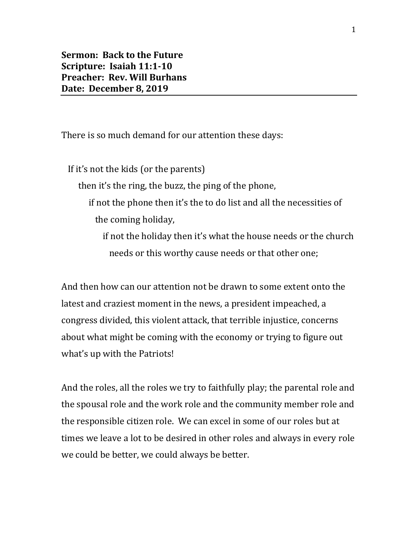**Sermon: Back to the Future Scripture: Isaiah 11:1-10 Preacher: Rev. Will Burhans Date: December 8, 2019**

There is so much demand for our attention these days:

 If it's not the kids (or the parents) then it's the ring, the buzz, the ping of the phone, if not the phone then it's the to do list and all the necessities of the coming holiday, if not the holiday then it's what the house needs or the church needs or this worthy cause needs or that other one;

And then how can our attention not be drawn to some extent onto the latest and craziest moment in the news, a president impeached, a congress divided, this violent attack, that terrible injustice, concerns about what might be coming with the economy or trying to figure out what's up with the Patriots!

And the roles, all the roles we try to faithfully play; the parental role and the spousal role and the work role and the community member role and the responsible citizen role. We can excel in some of our roles but at times we leave a lot to be desired in other roles and always in every role we could be better, we could always be better.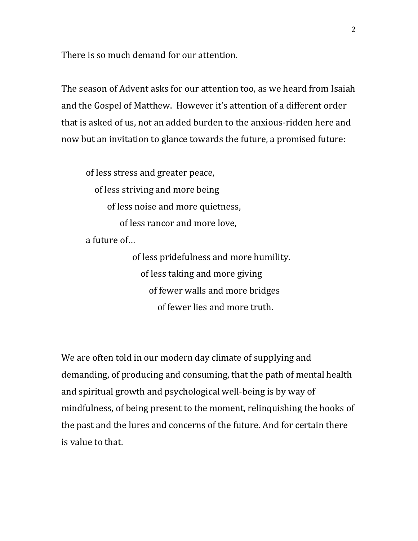There is so much demand for our attention.

The season of Advent asks for our attention too, as we heard from Isaiah and the Gospel of Matthew. However it's attention of a different order that is asked of us, not an added burden to the anxious-ridden here and now but an invitation to glance towards the future, a promised future:

of less stress and greater peace, of less striving and more being of less noise and more quietness, of less rancor and more love, a future of…

> of less pridefulness and more humility. of less taking and more giving of fewer walls and more bridges of fewer lies and more truth.

We are often told in our modern day climate of supplying and demanding, of producing and consuming, that the path of mental health and spiritual growth and psychological well-being is by way of mindfulness, of being present to the moment, relinquishing the hooks of the past and the lures and concerns of the future. And for certain there is value to that.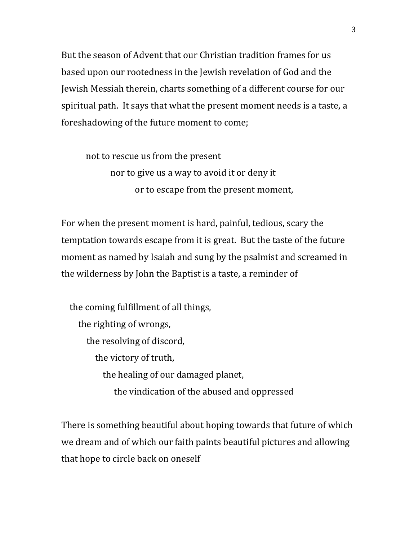But the season of Advent that our Christian tradition frames for us based upon our rootedness in the Jewish revelation of God and the Jewish Messiah therein, charts something of a different course for our spiritual path. It says that what the present moment needs is a taste, a foreshadowing of the future moment to come;

not to rescue us from the present nor to give us a way to avoid it or deny it or to escape from the present moment,

For when the present moment is hard, painful, tedious, scary the temptation towards escape from it is great. But the taste of the future moment as named by Isaiah and sung by the psalmist and screamed in the wilderness by John the Baptist is a taste, a reminder of

 the coming fulfillment of all things, the righting of wrongs, the resolving of discord, the victory of truth, the healing of our damaged planet, the vindication of the abused and oppressed

There is something beautiful about hoping towards that future of which we dream and of which our faith paints beautiful pictures and allowing that hope to circle back on oneself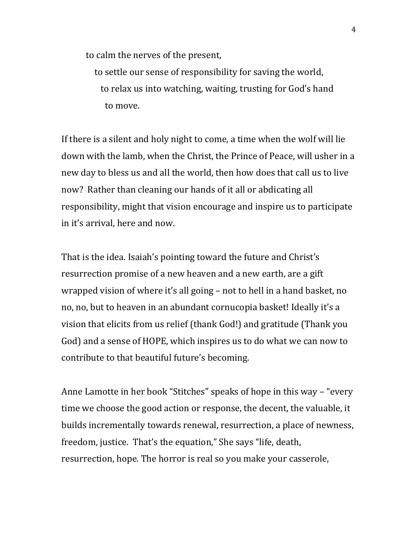to calm the nerves of the present,

 to settle our sense of responsibility for saving the world, to relax us into watching, waiting, trusting for God's hand to move.

If there is a silent and holy night to come, a time when the wolf will lie down with the lamb, when the Christ, the Prince of Peace, will usher in a new day to bless us and all the world, then how does that call us to live now? Rather than cleaning our hands of it all or abdicating all responsibility, might that vision encourage and inspire us to participate in it's arrival, here and now.

That is the idea. Isaiah's pointing toward the future and Christ's resurrection promise of a new heaven and a new earth, are a gift wrapped vision of where it's all going – not to hell in a hand basket, no no, no, but to heaven in an abundant cornucopia basket! Ideally it's a vision that elicits from us relief (thank God!) and gratitude (Thank you God) and a sense of HOPE, which inspires us to do what we can now to contribute to that beautiful future's becoming.

Anne Lamotte in her book "Stitches" speaks of hope in this way – "every time we choose the good action or response, the decent, the valuable, it builds incrementally towards renewal, resurrection, a place of newness, freedom, justice. That's the equation," She says "life, death, resurrection, hope. The horror is real so you make your casserole,